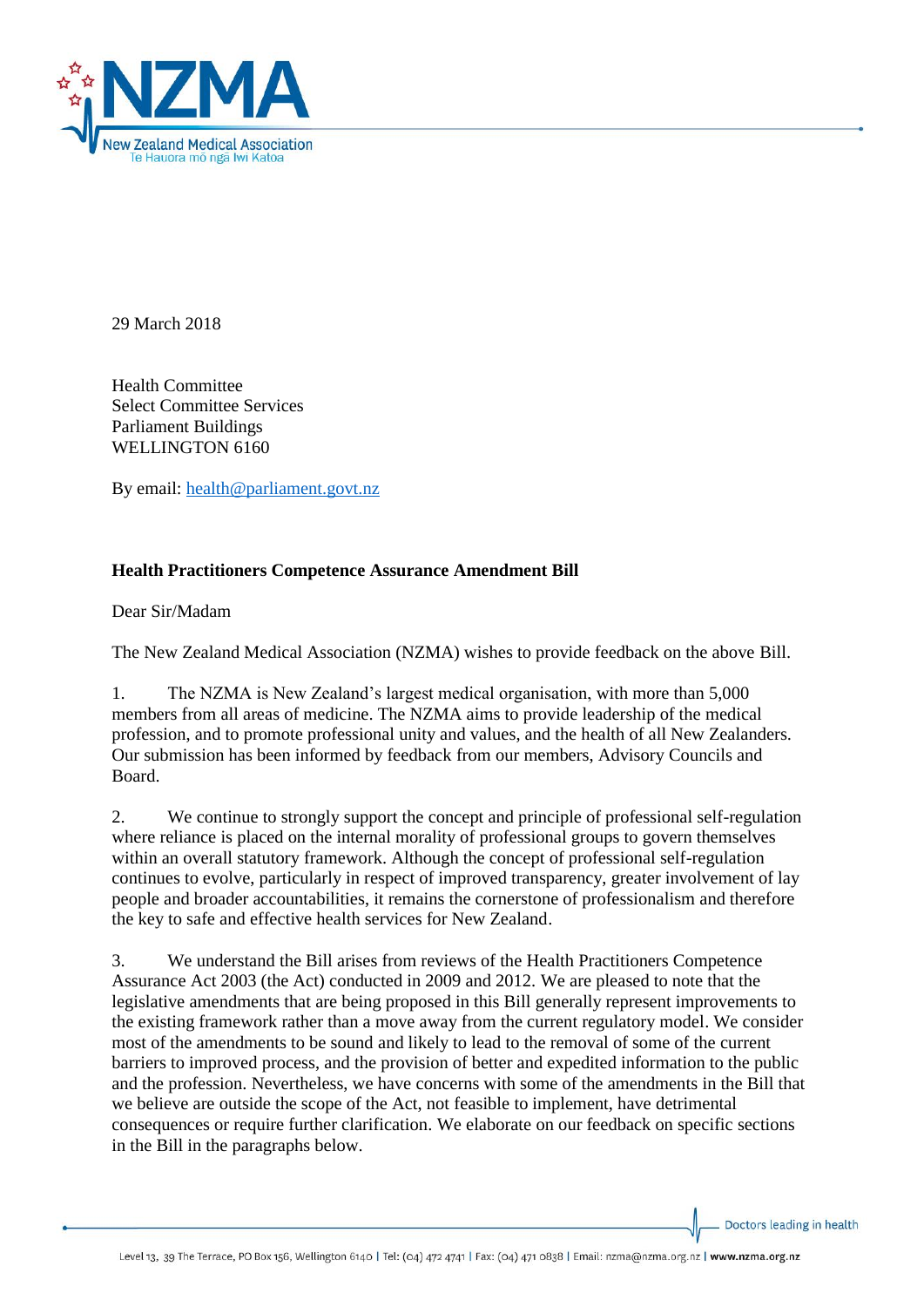

29 March 2018

Health Committee Select Committee Services Parliament Buildings WELLINGTON 6160

By email: [health@parliament.govt.nz](mailto:health@parliament.govt.nz)

# **Health Practitioners Competence Assurance Amendment Bill**

Dear Sir/Madam

The New Zealand Medical Association (NZMA) wishes to provide feedback on the above Bill.

1. The NZMA is New Zealand's largest medical organisation, with more than 5,000 members from all areas of medicine. The NZMA aims to provide leadership of the medical profession, and to promote professional unity and values, and the health of all New Zealanders. Our submission has been informed by feedback from our members, Advisory Councils and Board.

2. We continue to strongly support the concept and principle of professional self-regulation where reliance is placed on the internal morality of professional groups to govern themselves within an overall statutory framework. Although the concept of professional self-regulation continues to evolve, particularly in respect of improved transparency, greater involvement of lay people and broader accountabilities, it remains the cornerstone of professionalism and therefore the key to safe and effective health services for New Zealand.

3. We understand the Bill arises from reviews of the Health Practitioners Competence Assurance Act 2003 (the Act) conducted in 2009 and 2012. We are pleased to note that the legislative amendments that are being proposed in this Bill generally represent improvements to the existing framework rather than a move away from the current regulatory model. We consider most of the amendments to be sound and likely to lead to the removal of some of the current barriers to improved process, and the provision of better and expedited information to the public and the profession. Nevertheless, we have concerns with some of the amendments in the Bill that we believe are outside the scope of the Act, not feasible to implement, have detrimental consequences or require further clarification. We elaborate on our feedback on specific sections in the Bill in the paragraphs below.

Doctors leading in health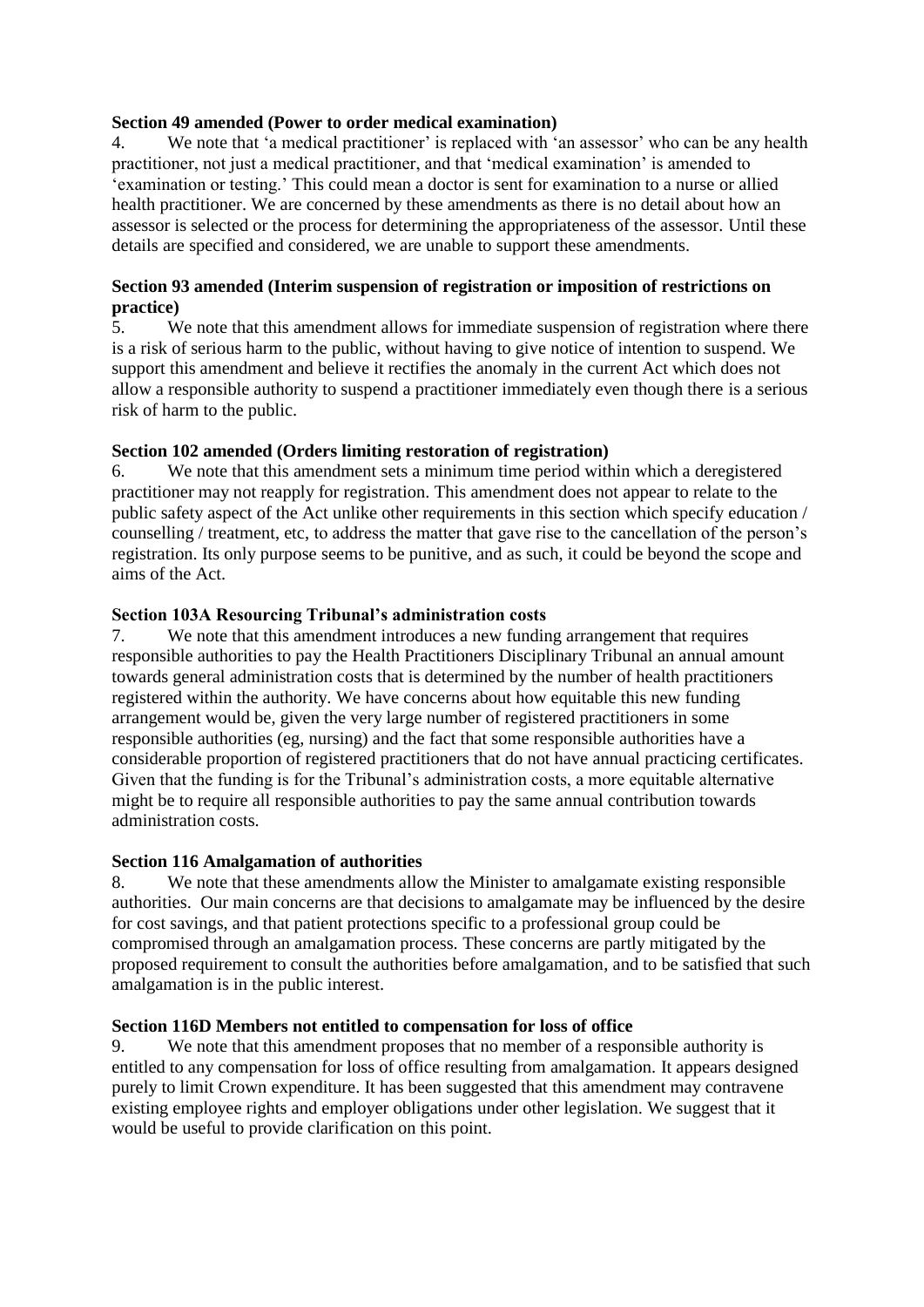### **Section 49 amended (Power to order medical examination)**

4. We note that 'a medical practitioner' is replaced with 'an assessor' who can be any health practitioner, not just a medical practitioner, and that 'medical examination' is amended to 'examination or testing.' This could mean a doctor is sent for examination to a nurse or allied health practitioner. We are concerned by these amendments as there is no detail about how an assessor is selected or the process for determining the appropriateness of the assessor. Until these details are specified and considered, we are unable to support these amendments.

### **Section 93 amended (Interim suspension of registration or imposition of restrictions on practice)**

5. We note that this amendment allows for immediate suspension of registration where there is a risk of serious harm to the public, without having to give notice of intention to suspend. We support this amendment and believe it rectifies the anomaly in the current Act which does not allow a responsible authority to suspend a practitioner immediately even though there is a serious risk of harm to the public.

### **Section 102 amended (Orders limiting restoration of registration)**

6. We note that this amendment sets a minimum time period within which a deregistered practitioner may not reapply for registration. This amendment does not appear to relate to the public safety aspect of the Act unlike other requirements in this section which specify education / counselling / treatment, etc, to address the matter that gave rise to the cancellation of the person's registration. Its only purpose seems to be punitive, and as such, it could be beyond the scope and aims of the Act.

#### **Section 103A Resourcing Tribunal's administration costs**

7. We note that this amendment introduces a new funding arrangement that requires responsible authorities to pay the Health Practitioners Disciplinary Tribunal an annual amount towards general administration costs that is determined by the number of health practitioners registered within the authority. We have concerns about how equitable this new funding arrangement would be, given the very large number of registered practitioners in some responsible authorities (eg, nursing) and the fact that some responsible authorities have a considerable proportion of registered practitioners that do not have annual practicing certificates. Given that the funding is for the Tribunal's administration costs, a more equitable alternative might be to require all responsible authorities to pay the same annual contribution towards administration costs.

### **Section 116 Amalgamation of authorities**

8. We note that these amendments allow the Minister to amalgamate existing responsible authorities. Our main concerns are that decisions to amalgamate may be influenced by the desire for cost savings, and that patient protections specific to a professional group could be compromised through an amalgamation process. These concerns are partly mitigated by the proposed requirement to consult the authorities before amalgamation, and to be satisfied that such amalgamation is in the public interest.

### **Section 116D Members not entitled to compensation for loss of office**

9. We note that this amendment proposes that no member of a responsible authority is entitled to any compensation for loss of office resulting from amalgamation. It appears designed purely to limit Crown expenditure. It has been suggested that this amendment may contravene existing employee rights and employer obligations under other legislation. We suggest that it would be useful to provide clarification on this point.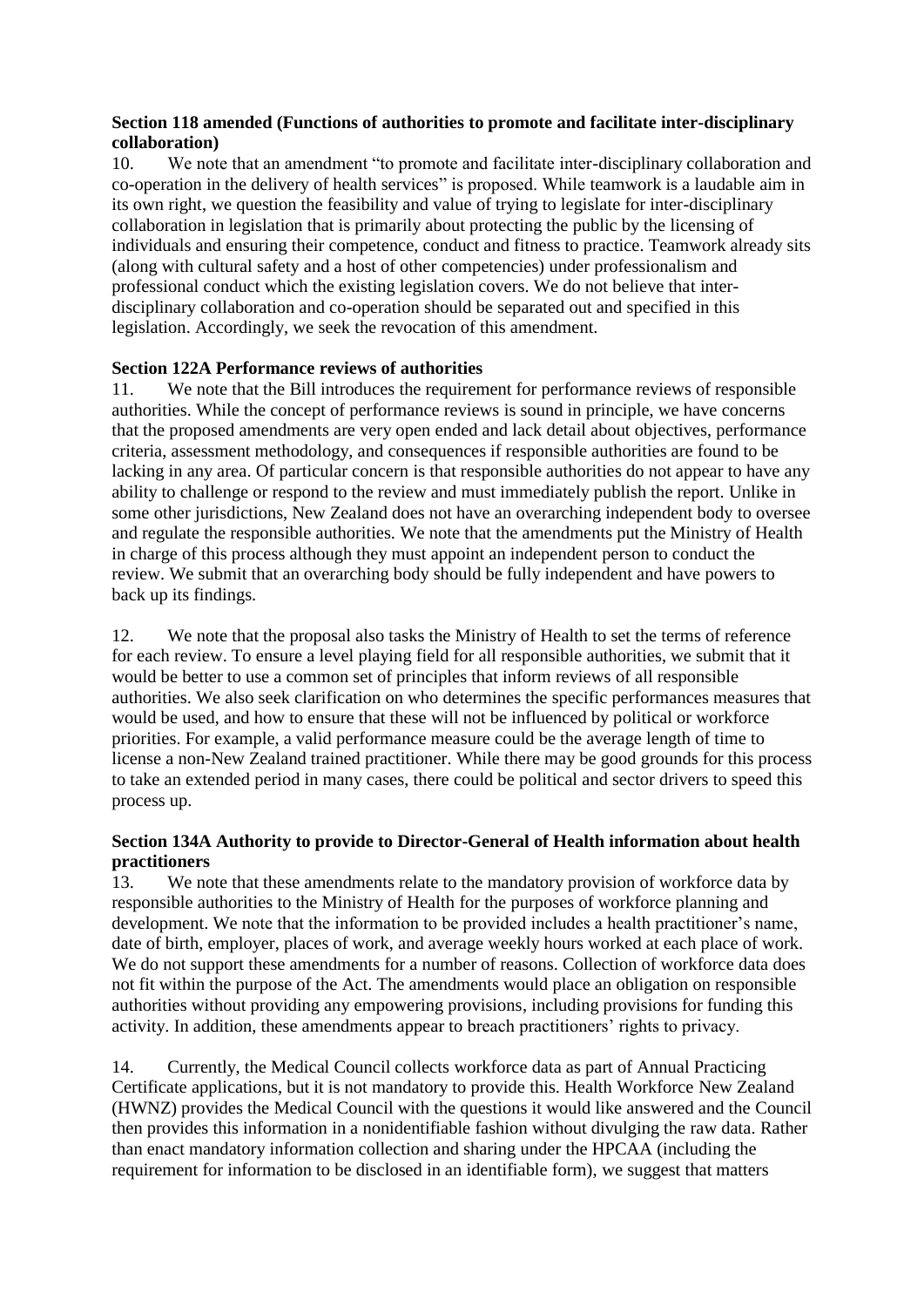## **Section 118 amended (Functions of authorities to promote and facilitate inter-disciplinary collaboration)**

10. We note that an amendment "to promote and facilitate inter-disciplinary collaboration and co-operation in the delivery of health services" is proposed. While teamwork is a laudable aim in its own right, we question the feasibility and value of trying to legislate for inter-disciplinary collaboration in legislation that is primarily about protecting the public by the licensing of individuals and ensuring their competence, conduct and fitness to practice. Teamwork already sits (along with cultural safety and a host of other competencies) under professionalism and professional conduct which the existing legislation covers. We do not believe that interdisciplinary collaboration and co-operation should be separated out and specified in this legislation. Accordingly, we seek the revocation of this amendment.

## **Section 122A Performance reviews of authorities**

11. We note that the Bill introduces the requirement for performance reviews of responsible authorities. While the concept of performance reviews is sound in principle, we have concerns that the proposed amendments are very open ended and lack detail about objectives, performance criteria, assessment methodology, and consequences if responsible authorities are found to be lacking in any area. Of particular concern is that responsible authorities do not appear to have any ability to challenge or respond to the review and must immediately publish the report. Unlike in some other jurisdictions, New Zealand does not have an overarching independent body to oversee and regulate the responsible authorities. We note that the amendments put the Ministry of Health in charge of this process although they must appoint an independent person to conduct the review. We submit that an overarching body should be fully independent and have powers to back up its findings.

12. We note that the proposal also tasks the Ministry of Health to set the terms of reference for each review. To ensure a level playing field for all responsible authorities, we submit that it would be better to use a common set of principles that inform reviews of all responsible authorities. We also seek clarification on who determines the specific performances measures that would be used, and how to ensure that these will not be influenced by political or workforce priorities. For example, a valid performance measure could be the average length of time to license a non-New Zealand trained practitioner. While there may be good grounds for this process to take an extended period in many cases, there could be political and sector drivers to speed this process up.

## **Section 134A Authority to provide to Director-General of Health information about health practitioners**

13. We note that these amendments relate to the mandatory provision of workforce data by responsible authorities to the Ministry of Health for the purposes of workforce planning and development. We note that the information to be provided includes a health practitioner's name, date of birth, employer, places of work, and average weekly hours worked at each place of work. We do not support these amendments for a number of reasons. Collection of workforce data does not fit within the purpose of the Act. The amendments would place an obligation on responsible authorities without providing any empowering provisions, including provisions for funding this activity. In addition, these amendments appear to breach practitioners' rights to privacy.

14. Currently, the Medical Council collects workforce data as part of Annual Practicing Certificate applications, but it is not mandatory to provide this. Health Workforce New Zealand (HWNZ) provides the Medical Council with the questions it would like answered and the Council then provides this information in a nonidentifiable fashion without divulging the raw data. Rather than enact mandatory information collection and sharing under the HPCAA (including the requirement for information to be disclosed in an identifiable form), we suggest that matters